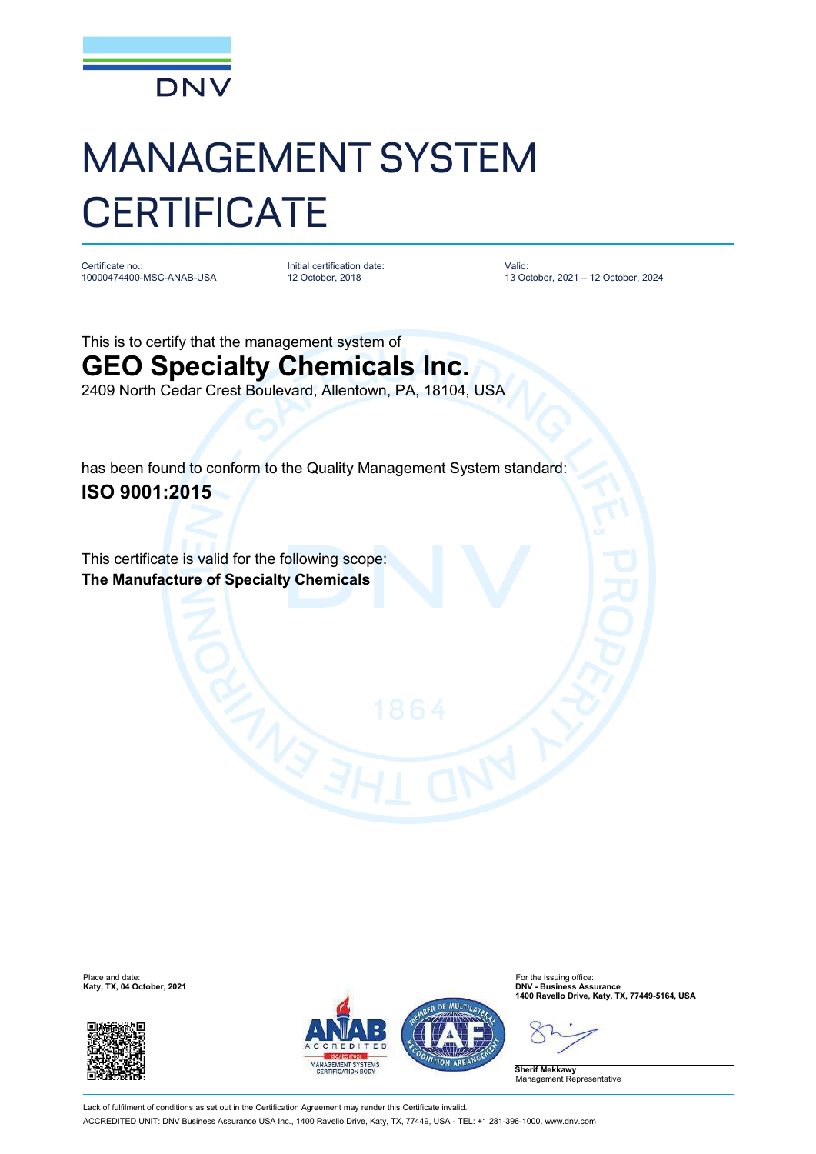

## MANAGEMENT SYSTEM **CERTIFICATE**

Certificate no.: 10000474400-MSC-ANAB-USA Initial certification date: 12 October, 2018

Valid: 13 October, 2021 – 12 October, 2024

This is to certify that the management system of **GEO Specialty Chemicals Inc.** 2409 North Cedar Crest Boulevard, Allentown, PA, 18104, USA

has been found to conform to the Quality Management System standard: **ISO 9001:2015**

This certificate is valid for the following scope: **The Manufacture of Specialty Chemicals**





**1400 Ravello Drive, Katy, TX, 77449-5164, USA**

**Sherif Mekkawy** Management Representative

Lack of fulfilment of conditions as set out in the Certification Agreement may render this Certificate invalid. ACCREDITED UNIT: DNV Business Assurance USA Inc., 1400 Ravello Drive, Katy, TX, 77449, USA - TEL: +1 281-396-1000. [www.dnv.com](http://www.dnv.com)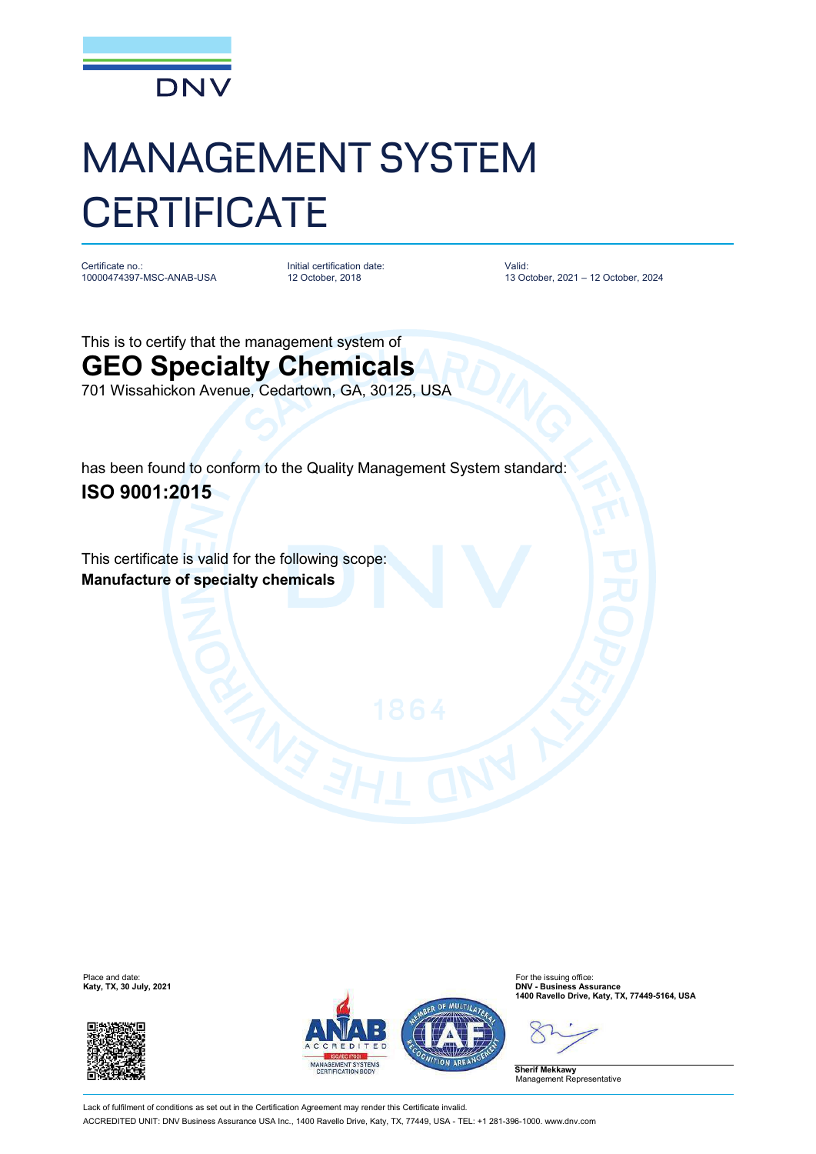

## MANAGEMENT SYSTEM **CERTIFICATE**

Certificate no.: 10000474397-MSC-ANAB-USA Initial certification date: 12 October, 2018

Valid: 13 October, 2021 – 12 October, 2024

This is to certify that the management system of **GEO Specialty Chemicals** 701 Wissahickon Avenue, Cedartown, GA, 30125, USA

has been found to conform to the Quality Management System standard: **ISO 9001:2015**

This certificate is valid for the following scope: **Manufacture of specialty chemicals**





**1400 Ravello Drive, Katy, TX, 77449-5164, USA**

**Sherif Mekkawy** Management Representative

Lack of fulfilment of conditions as set out in the Certification Agreement may render this Certificate invalid. ACCREDITED UNIT: DNV Business Assurance USA Inc., 1400 Ravello Drive, Katy, TX, 77449, USA - TEL: +1 281-396-1000. [www.dnv.com](http://www.dnv.com)